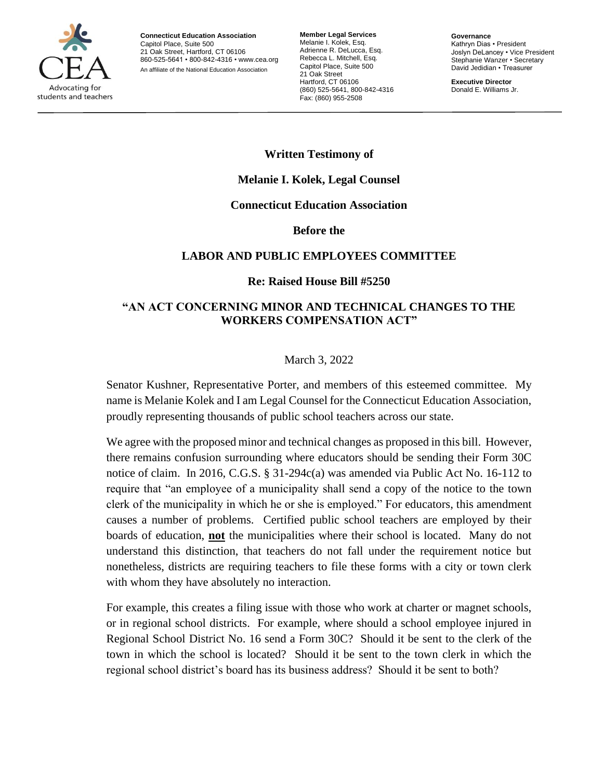

**Connecticut Education Association** Capitol Place, Suite 500 21 Oak Street, Hartford, CT 06106 860-525-5641 • 800-842-4316 • [www.cea.org](http://www.cea.org/) An affiliate of the National Education Association

**Member Legal Services** Melanie I. Kolek, Esq. Adrienne R. DeLucca, Esq. Rebecca L. Mitchell, Esq. Capitol Place, Suite 500 21 Oak Street Hartford, CT 06106 (860) 525-5641, 800-842-4316 Fax: (860) 955-2508

**Governance** Kathryn Dias • President Joslyn DeLancey • Vice President Stephanie Wanzer • Secretary David Jedidian • Treasurer

**Executive Director** Donald E. Williams Jr.

# **Written Testimony of**

## **Melanie I. Kolek, Legal Counsel**

### **Connecticut Education Association**

#### **Before the**

## **LABOR AND PUBLIC EMPLOYEES COMMITTEE**

### **Re: Raised House Bill #5250**

## **"AN ACT CONCERNING MINOR AND TECHNICAL CHANGES TO THE WORKERS COMPENSATION ACT"**

### March 3, 2022

Senator Kushner, Representative Porter, and members of this esteemed committee. My name is Melanie Kolek and I am Legal Counsel for the Connecticut Education Association, proudly representing thousands of public school teachers across our state.

We agree with the proposed minor and technical changes as proposed in this bill. However, there remains confusion surrounding where educators should be sending their Form 30C notice of claim. In 2016, C.G.S. § 31-294c(a) was amended via Public Act No. 16-112 to require that "an employee of a municipality shall send a copy of the notice to the town clerk of the municipality in which he or she is employed." For educators, this amendment causes a number of problems. Certified public school teachers are employed by their boards of education, **not** the municipalities where their school is located. Many do not understand this distinction, that teachers do not fall under the requirement notice but nonetheless, districts are requiring teachers to file these forms with a city or town clerk with whom they have absolutely no interaction.

For example, this creates a filing issue with those who work at charter or magnet schools, or in regional school districts. For example, where should a school employee injured in Regional School District No. 16 send a Form 30C? Should it be sent to the clerk of the town in which the school is located? Should it be sent to the town clerk in which the regional school district's board has its business address? Should it be sent to both?